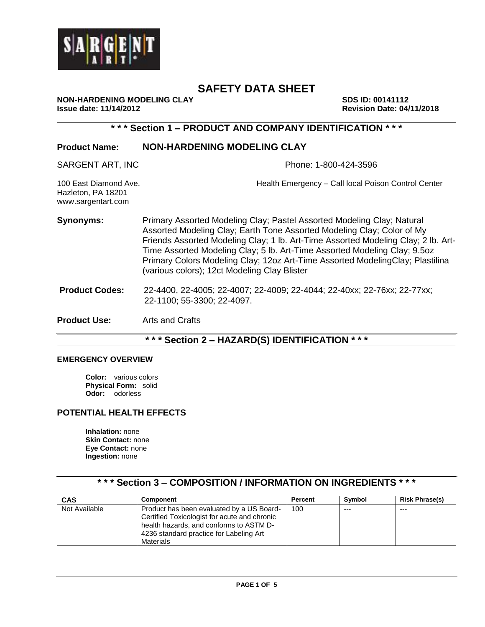

**NON-HARDENING MODELING CLAY SDS ID: 00141112**<br>Issue date: 11/14/2012 **ISSUE 2018** 

**Issue date: 11/14/2012 Revision Date: 04/11/2018**

# **\* \* \* Section 1 – PRODUCT AND COMPANY IDENTIFICATION \* \* \***

# **Product Name: NON-HARDENING MODELING CLAY**

SARGENT ART, INC **Phone: 1-800-424-3596** 

100 East Diamond Ave. Health Emergency – Call local Poison Control Center Hazleton, PA 18201 www.sargentart.com

- **Synonyms:** Primary Assorted Modeling Clay; Pastel Assorted Modeling Clay; Natural Assorted Modeling Clay; Earth Tone Assorted Modeling Clay; Color of My Friends Assorted Modeling Clay; 1 lb. Art-Time Assorted Modeling Clay; 2 lb. Art-Time Assorted Modeling Clay; 5 lb. Art-Time Assorted Modeling Clay; 9.5oz Primary Colors Modeling Clay; 12oz Art-Time Assorted ModelingClay; Plastilina (various colors); 12ct Modeling Clay Blister
- **Product Codes:** 22-4400, 22-4005; 22-4007; 22-4009; 22-4044; 22-40xx; 22-76xx; 22-77xx; 22-1100; 55-3300; 22-4097.

**Product Use:** Arts and Crafts

# **\* \* \* Section 2 – HAZARD(S) IDENTIFICATION \* \* \***

#### **EMERGENCY OVERVIEW**

**Color:** various colors **Physical Form:** solid **Odor:** odorless

# **POTENTIAL HEALTH EFFECTS**

**Inhalation:** none **Skin Contact:** none **Eye Contact:** none **Ingestion:** none

# **\* \* \* Section 3 – COMPOSITION / INFORMATION ON INGREDIENTS \* \* \***

| <b>CAS</b>    | <b>Component</b>                                                                                                                                                                             | Percent | Symbol  | <b>Risk Phrase(s)</b> |
|---------------|----------------------------------------------------------------------------------------------------------------------------------------------------------------------------------------------|---------|---------|-----------------------|
| Not Available | Product has been evaluated by a US Board-<br>Certified Toxicologist for acute and chronic<br>health hazards, and conforms to ASTM D-<br>4236 standard practice for Labeling Art<br>Materials | 100     | $- - -$ | $--$                  |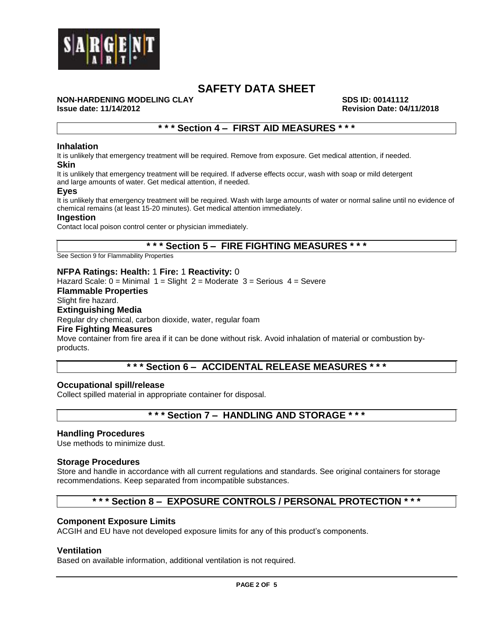

# **NON-HARDENING MODELING CLAY SDS ID: 00141112**<br>Issue date: 11/14/2012 **ISSUE 2018**

**Issue date: 11/14/2012 Revision Date: 04/11/2018**

# **\* \* \* Section 4 – FIRST AID MEASURES \* \* \***

#### **Inhalation**

It is unlikely that emergency treatment will be required. Remove from exposure. Get medical attention, if needed. **Skin**

It is unlikely that emergency treatment will be required. If adverse effects occur, wash with soap or mild detergent and large amounts of water. Get medical attention, if needed.

#### **Eyes**

It is unlikely that emergency treatment will be required. Wash with large amounts of water or normal saline until no evidence of chemical remains (at least 15-20 minutes). Get medical attention immediately.

#### **Ingestion**

Contact local poison control center or physician immediately.

# **\* \* \* Section 5 – FIRE FIGHTING MEASURES \* \* \***

See Section 9 for Flammability Properties

#### **NFPA Ratings: Health:** 1 **Fire:** 1 **Reactivity:** 0

Hazard Scale:  $0 =$  Minimal  $1 =$  Slight  $2 =$  Moderate  $3 =$  Serious  $4 =$  Severe

#### **Flammable Properties**

# Slight fire hazard.

### **Extinguishing Media**

Regular dry chemical, carbon dioxide, water, regular foam

#### **Fire Fighting Measures**

Move container from fire area if it can be done without risk. Avoid inhalation of material or combustion byproducts.

# **\* \* \* Section 6 – ACCIDENTAL RELEASE MEASURES \* \* \***

#### **Occupational spill/release**

Collect spilled material in appropriate container for disposal.

# **\* \* \* Section 7 – HANDLING AND STORAGE \* \* \***

#### **Handling Procedures**

Use methods to minimize dust.

#### **Storage Procedures**

Store and handle in accordance with all current regulations and standards. See original containers for storage recommendations. Keep separated from incompatible substances.

# **\* \* \* Section 8 – EXPOSURE CONTROLS / PERSONAL PROTECTION \* \* \***

#### **Component Exposure Limits**

ACGIH and EU have not developed exposure limits for any of this product's components.

#### **Ventilation**

Based on available information, additional ventilation is not required.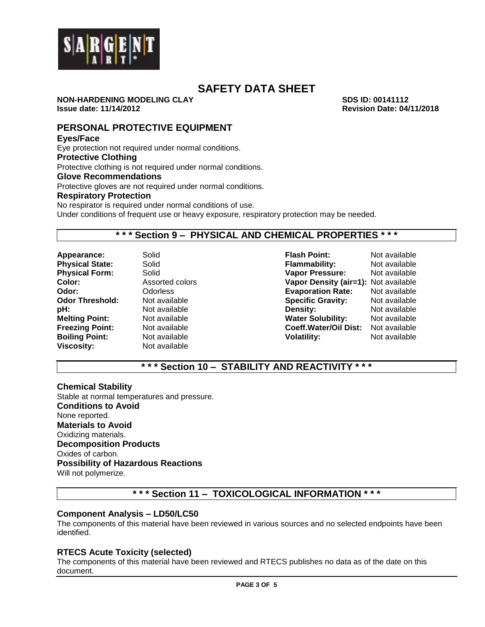

**NON-HARDENING MODELING CLAY SDS ID: 00141112 Issue date: 11/14/2012 Revision Date: 04/11/2018**

**PERSONAL PROTECTIVE EQUIPMENT**

#### **Eyes/Face**

Eye protection not required under normal conditions. **Protective Clothing** Protective clothing is not required under normal conditions. **Glove Recommendations** Protective gloves are not required under normal conditions. **Respiratory Protection** No respirator is required under normal conditions of use.

Under conditions of frequent use or heavy exposure, respiratory protection may be needed.

# **\* \* \* Section 9 – PHYSICAL AND CHEMICAL PROPERTIES \* \* \***

**Viscosity:** Not available

**Appearance:** Solid **Flash Point:** Not available **Physical State:** Solid **Flammability:** Not available **Physical Form:** Solid **Vapor Pressure:** Not available **Color:** Assorted colors **Vapor Density (air=1):** Not available **Odor:** Odorless **Evaporation Rate:** Not available **Specific Gravity: pH:** Not available **Density:** Not available Not available **Water Solubility:** Not available **Freezing Point:** Not available **Coeff.Water/Oil Dist:** Not available **Boiling Point:** Not available **Volatility:** Not available

**\* \* \* Section 10 – STABILITY AND REACTIVITY \* \* \***

# **Chemical Stability**

Stable at normal temperatures and pressure. **Conditions to Avoid** None reported. **Materials to Avoid** Oxidizing materials. **Decomposition Products** Oxides of carbon. **Possibility of Hazardous Reactions** Will not polymerize.

# **\* \* \* Section 11 – TOXICOLOGICAL INFORMATION \* \* \***

# **Component Analysis – LD50/LC50**

The components of this material have been reviewed in various sources and no selected endpoints have been identified.

# **RTECS Acute Toxicity (selected)**

The components of this material have been reviewed and RTECS publishes no data as of the date on this document.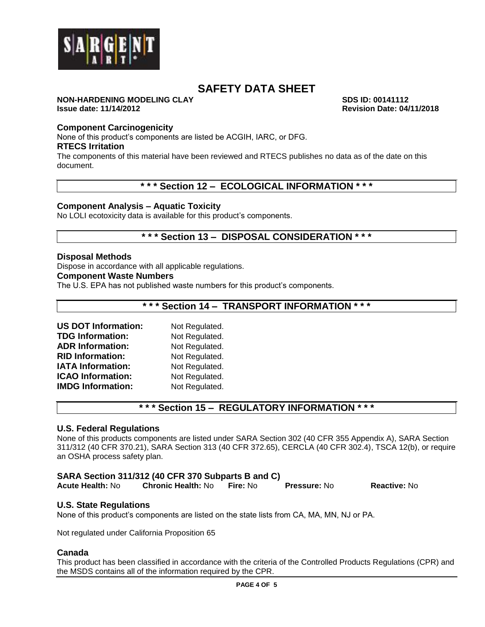

#### **NON-HARDENING MODELING CLAY SDS ID: 00141112 Issue date: 11/14/2012 Revision Date: 04/11/2018**

# **Component Carcinogenicity**

None of this product's components are listed be ACGIH, IARC, or DFG.

#### **RTECS Irritation**

The components of this material have been reviewed and RTECS publishes no data as of the date on this document.

# **\* \* \* Section 12 – ECOLOGICAL INFORMATION \* \* \***

### **Component Analysis – Aquatic Toxicity**

No LOLI ecotoxicity data is available for this product's components.

# **\* \* \* Section 13 – DISPOSAL CONSIDERATION \* \* \***

### **Disposal Methods**

Dispose in accordance with all applicable regulations.

#### **Component Waste Numbers**

The U.S. EPA has not published waste numbers for this product's components.

# **\* \* \* Section 14 – TRANSPORT INFORMATION \* \* \***

| <b>US DOT Information:</b> | Not Regulated. |
|----------------------------|----------------|
| <b>TDG Information:</b>    | Not Regulated. |
| <b>ADR Information:</b>    | Not Regulated. |
| <b>RID Information:</b>    | Not Regulated. |
| <b>IATA Information:</b>   | Not Regulated. |
| <b>ICAO Information:</b>   | Not Regulated. |
| <b>IMDG Information:</b>   | Not Regulated. |

# **\* \* \* Section 15 – REGULATORY INFORMATION \* \* \***

#### **U.S. Federal Regulations**

None of this products components are listed under SARA Section 302 (40 CFR 355 Appendix A), SARA Section 311/312 (40 CFR 370.21), SARA Section 313 (40 CFR 372.65), CERCLA (40 CFR 302.4), TSCA 12(b), or require an OSHA process safety plan.

# **SARA Section 311/312 (40 CFR 370 Subparts B and C)**

| <b>Reactive: No</b><br><b>Chronic Health: No</b><br>Fire: No<br><b>Acute Health:</b> No<br><b>Pressure: No</b> |
|----------------------------------------------------------------------------------------------------------------|
|                                                                                                                |

# **U.S. State Regulations**

None of this product's components are listed on the state lists from CA, MA, MN, NJ or PA.

Not regulated under California Proposition 65

#### **Canada**

This product has been classified in accordance with the criteria of the Controlled Products Regulations (CPR) and the MSDS contains all of the information required by the CPR.